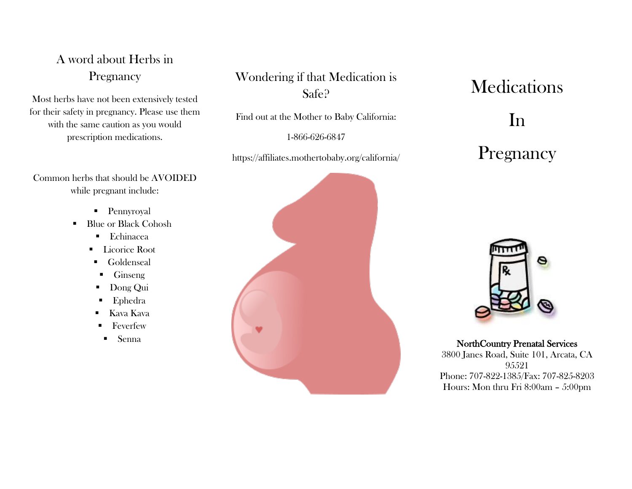### A word about Herbs in Pregnancy

Most herbs have not been extensively tested for their safety in pregnancy. Please use them with the same caution as you would prescription medications.

Common herbs that should be AVOIDED while pregnant include:

- **Pennyroyal**
- Blue or Black Cohosh
	- Echinacea
	- **Licorice Root**
	- **Goldenseal**
	- $\blacksquare$  Ginseng
	- **Dong Qui**
	- **Ephedra**
	- Kava Kava
	- **Feverfew**
	- Senna

#### Wondering if that Medication is Safe?

Find out at the Mother to Baby California:

1-866-626-6847

https://affiliates.mothertobaby.org/california/



# **Medications**

## In

# Pregnancy



#### NorthCountry Prenatal Services

3800 Janes Road, Suite 101, Arcata, CA 95521 Phone: 707-822-1385/Fax: 707-825-8203 Hours: Mon thru Fri 8:00am – 5:00pm